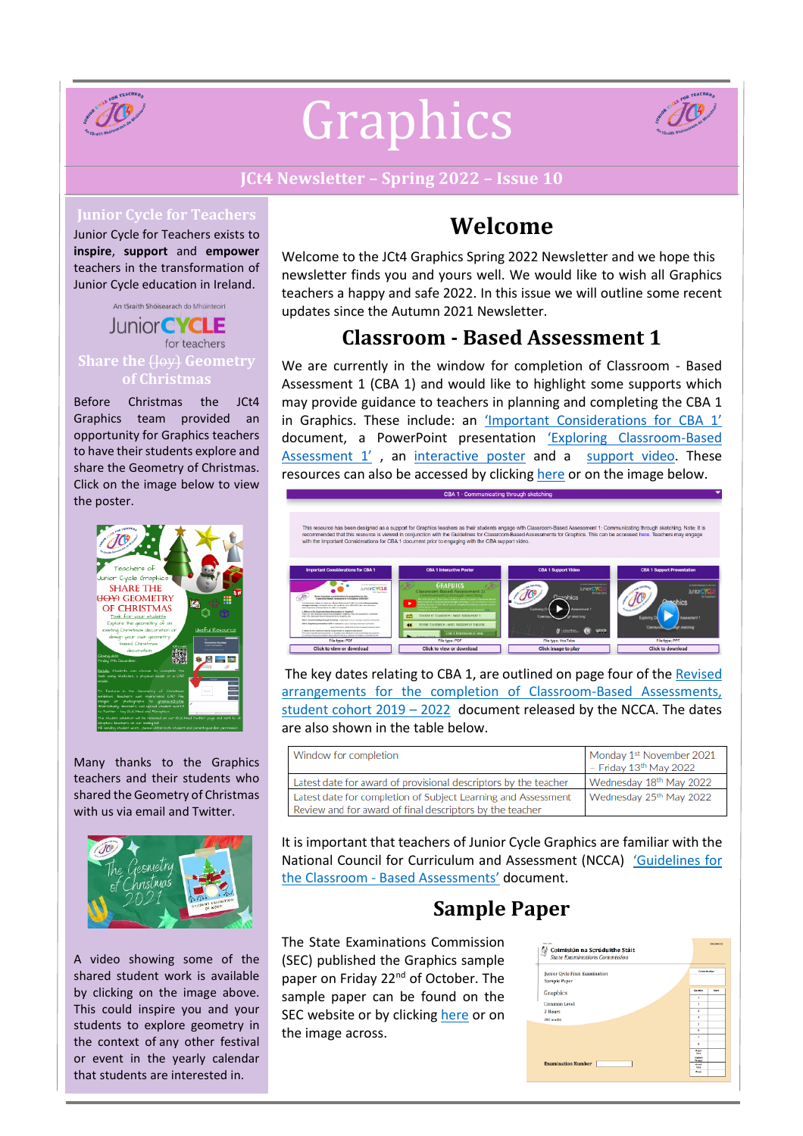

# Graphics



### **JCt4 Newsletter – Spring 2022 – Issue 10**

#### **Junior Cycle for Teachers**

Junior Cycle for Teachers exists to **inspire**, **support** and **empower** teachers in the transformation of Junior Cycle education in Ireland.

An tSraith Shóisearach do Mhúinteoirí **Junior CYCLE** for teachers **Share the** (Joy) **Geometry of Christmas**

Before Christmas the JCt4 Graphics team provided an opportunity for Graphics teachers to have their students explore and share the Geometry of Christmas. Click on the image below to view the poster.



Many thanks to the Graphics teachers and their students who shared the Geometry of Christmas with us via email and Twitter.



A video showing some of the shared student work is available by clicking on the image above. This could inspire you and your students to explore geometry in the context of any other festival or event in the yearly calendar that students are interested in.

## **Welcome**

Welcome to the JCt4 Graphics Spring 2022 Newsletter and we hope this newsletter finds you and yours well. We would like to wish all Graphics teachers a happy and safe 2022. In this issue we will outline some recent updates since the Autumn 2021 Newsletter.

## **Classroom - Based [Assessment](https://www.jct.ie/technologies/assessment_graphics#:~:text=CBA%201%20%2D%20Communicating%20through%20sketching) 1**

We are currently in the window for completion of Classroom - Based Assessment 1 (CBA 1) and would like to highlight some supports which may provide guidance to teachers in planning and completing the CBA 1 in Graphics. These include: an *['Important Considerations for CBA 1'](https://www.jct.ie/technologies/assessment_graphics#ImportantConsiderationsforCBA1)* document, a PowerPoint presentation ['Exploring Classroom](https://www.jct.ie/technologies/assessment_graphics#CBA1SupportPresentation)-Based [Assessment 1'](https://www.jct.ie/technologies/assessment_graphics#CBA1SupportPresentation), an [interactive poster](https://www.jct.ie/technologies/assessment_graphics#CBA1InteractivePoster) and a [support video.](https://www.jct.ie/technologies/assessment_graphics#CBA1SupportVideo) These resources can also be accessed b[y clicking](https://www.jct.ie/technologies/assessment_graphics#:~:text=CBA%201%20%2D%20Communicating%20through%20sketching) here or on the image below.



The key dates relating to CBA 1, are outlined on page four of the [Revised](https://ncca.ie/media/5144/cba-revised-arrangements_06092021_en.pdf) arrangements for the completion of [Classroom-Based](https://ncca.ie/media/5144/cba-revised-arrangements_06092021_en.pdf) Assessments, [student](https://ncca.ie/media/5144/cba-revised-arrangements_06092021_en.pdf) cohort  $2019 - 2022$  document released by the NCCA. The dates are also shown in the table below.

| Window for completion                                                                                                     | Monday 1st November 2021<br>- Friday $13th$ May 2022 |
|---------------------------------------------------------------------------------------------------------------------------|------------------------------------------------------|
| Latest date for award of provisional descriptors by the teacher                                                           | Wednesday 18th May 2022                              |
| Latest date for completion of Subject Learning and Assessment<br>Review and for award of final descriptors by the teacher | Wednesday 25th May 2022                              |

It is important that teachers of Junior Cycle Graphics are familiar with the National Council for Curriculum and Assessment (NCCA) '[Guidelines](https://www.curriculumonline.ie/getmedia/5786eebe-1e74-4661-ba29-66b6968db6a4/Graphics-AG.pdf) for the Classroom - Based [Assessments](https://www.curriculumonline.ie/getmedia/5786eebe-1e74-4661-ba29-66b6968db6a4/Graphics-AG.pdf)' document.

## **Sample Paper**

The State Examinations Commission (SEC) published the Graphics sample paper on Friday 22<sup>nd</sup> of October. The sample paper can be found on the SEC website or by [clicking](https://www.examinations.ie/misc-doc/BI-EX-46417114.pdf) here or on the image across.

| Junior Cycle Final Examination | <b>Castles Marcher</b>        |             |
|--------------------------------|-------------------------------|-------------|
| Sample Paper                   |                               |             |
| Graphics                       | Guidan                        | <b>Mark</b> |
|                                | $\overline{z}$                |             |
| Common Level                   | y                             |             |
| 2 Hours                        | ī                             |             |
| 280 marks                      | é                             |             |
|                                | š                             |             |
|                                | ٠                             |             |
|                                | ×                             |             |
|                                | п                             |             |
|                                | <b>Bases</b><br><b>Turned</b> |             |
|                                | <b>Student</b>                |             |